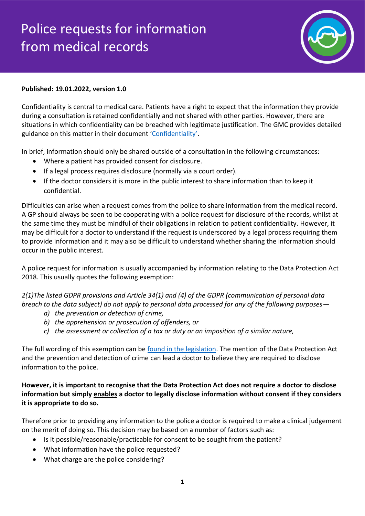## Police requests for information from medical records



## **Published: 19.01.2022, version 1.0**

Confidentiality is central to medical care. Patients have a right to expect that the information they provide during a consultation is retained confidentially and not shared with other parties. However, there are situations in which confidentiality can be breached with legitimate justification. The GMC provides detailed guidance on this matter in their document '[Confidentiality](https://www.gmc-uk.org/ethical-guidance/ethical-guidance-for-doctors/confidentiality)'.

In brief, information should only be shared outside of a consultation in the following circumstances:

- Where a patient has provided consent for disclosure.
- If a legal process requires disclosure (normally via a court order).
- If the doctor considers it is more in the public interest to share information than to keep it confidential.

Difficulties can arise when a request comes from the police to share information from the medical record. A GP should always be seen to be cooperating with a police request for disclosure of the records, whilst at the same time they must be mindful of their obligations in relation to patient confidentiality. However, it may be difficult for a doctor to understand if the request is underscored by a legal process requiring them to provide information and it may also be difficult to understand whether sharing the information should occur in the public interest.

A police request for information is usually accompanied by information relating to the Data Protection Act 2018. This usually quotes the following exemption:

*2(1)The listed GDPR provisions and Article 34(1) and (4) of the GDPR (communication of personal data breach to the data subject) do not apply to personal data processed for any of the following purposes—*

- *a) the prevention or detection of crime,*
- *b) the apprehension or prosecution of offenders, or*
- *c) the assessment or collection of a tax or duty or an imposition of a similar nature,*

The full wording of this exemption can be [found in the legislation.](https://www.legislation.gov.uk/ukpga/2018/12/schedule/2/enacted) The mention of the Data Protection Act and the prevention and detection of crime can lead a doctor to believe they are required to disclose information to the police.

**However, it is important to recognise that the Data Protection Act does not require a doctor to disclose information but simply enables a doctor to legally disclose information without consent if they considers it is appropriate to do so.**

Therefore prior to providing any information to the police a doctor is required to make a clinical judgement on the merit of doing so. This decision may be based on a number of factors such as:

- Is it possible/reasonable/practicable for consent to be sought from the patient?
- What information have the police requested?
- What charge are the police considering?